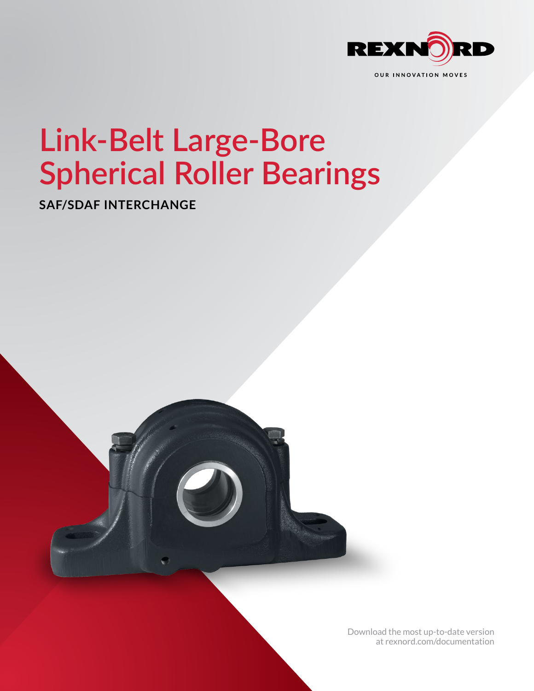

# **Link-Belt Large-Bore Spherical Roller Bearings**

**SAF/SDAF INTERCHANGE**



[Download the most up-to-date version](http://www.rexnord.com/documentation) [at rexnord.com/documentation](http://www.rexnord.com/documentation)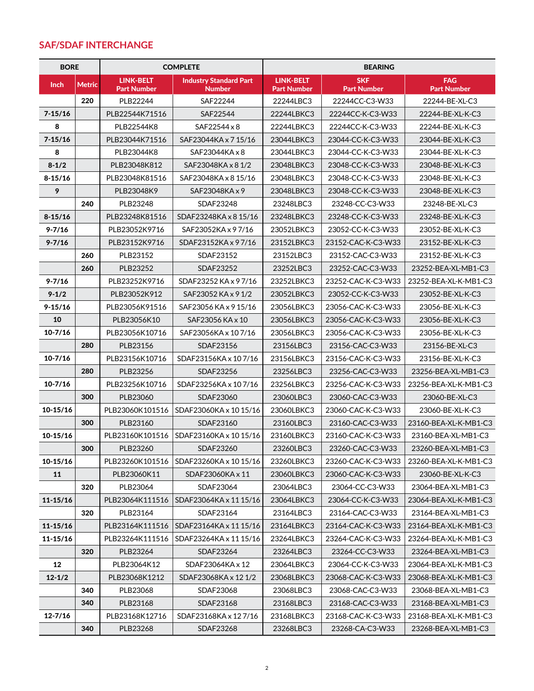### **SAF/SDAF INTERCHANGE**

| <b>BORE</b>  |               | <b>COMPLETE</b>                        |                                                | <b>BEARING</b>                         |                                  |                                  |
|--------------|---------------|----------------------------------------|------------------------------------------------|----------------------------------------|----------------------------------|----------------------------------|
| Inch         | <b>Metric</b> | <b>LINK-BELT</b><br><b>Part Number</b> | <b>Industry Standard Part</b><br><b>Number</b> | <b>LINK-BELT</b><br><b>Part Number</b> | <b>SKF</b><br><b>Part Number</b> | <b>FAG</b><br><b>Part Number</b> |
|              | 220           | PLB22244                               | SAF22244                                       | 22244LBC3                              | 22244CC-C3-W33                   | 22244-BE-XL-C3                   |
| $7 - 15/16$  |               | PLB22544K71516                         | SAF22544                                       | 22244LBKC3                             | 22244CC-K-C3-W33                 | 22244-BE-XL-K-C3                 |
| 8            |               | PLB22544K8                             | SAF22544 x 8                                   | 22244LBKC3                             | 22244CC-K-C3-W33                 | 22244-BE-XL-K-C3                 |
| $7 - 15/16$  |               | PLB23044K71516                         | SAF23044KA x 7 15/16                           | 23044LBKC3                             | 23044-CC-K-C3-W33                | 23044-BE-XL-K-C3                 |
| 8            |               | PLB23044K8                             | $SAF23044KA \times 8$                          | 23044LBKC3                             | 23044-CC-K-C3-W33                | 23044-BE-XL-K-C3                 |
| $8 - 1/2$    |               | PLB23048K812                           | SAF23048KA x 8 1/2                             | 23048LBKC3                             | 23048-CC-K-C3-W33                | 23048-BE-XL-K-C3                 |
| $8 - 15/16$  |               | PLB23048K81516                         | SAF23048KA x 8 15/16                           | 23048LBKC3                             | 23048-CC-K-C3-W33                | 23048-BE-XL-K-C3                 |
| 9            |               | PLB23048K9                             | SAF23048KA x 9                                 | 23048LBKC3                             | 23048-CC-K-C3-W33                | 23048-BE-XL-K-C3                 |
|              | 240           | PLB23248                               | SDAF23248                                      | 23248LBC3                              | 23248-CC-C3-W33                  | 23248-BE-XL-C3                   |
| $8 - 15/16$  |               | PLB23248K81516                         | SDAF23248KA x 8 15/16                          | 23248LBKC3                             | 23248-CC-K-C3-W33                | 23248-BE-XL-K-C3                 |
| $9 - 7/16$   |               | PLB23052K9716                          | SAF23052KA x 97/16                             | 23052LBKC3                             | 23052-CC-K-C3-W33                | 23052-BE-XL-K-C3                 |
| $9 - 7/16$   |               | PLB23152K9716                          | SDAF23152KA x 97/16                            | 23152LBKC3                             | 23152-CAC-K-C3-W33               | 23152-BE-XL-K-C3                 |
|              | 260           | PLB23152                               | SDAF23152                                      | 23152LBC3                              | 23152-CAC-C3-W33                 | 23152-BE-XL-K-C3                 |
|              | 260           | PLB23252                               | SDAF23252                                      | 23252LBC3                              | 23252-CAC-C3-W33                 | 23252-BEA-XL-MB1-C3              |
| $9 - 7/16$   |               | PLB23252K9716                          | SDAF23252 KA x 97/16                           | 23252LBKC3                             | 23252-CAC-K-C3-W33               | 23252-BEA-XL-K-MB1-C3            |
| $9 - 1/2$    |               | PLB23052K912                           | SAF23052 KA x 9 1/2                            | 23052LBKC3                             | 23052-CC-K-C3-W33                | 23052-BE-XL-K-C3                 |
| $9 - 15/16$  |               | PLB23056K91516                         | SAF23056 KA x 9 15/16                          | 23056LBKC3                             | 23056-CAC-K-C3-W33               | 23056-BE-XL-K-C3                 |
| 10           |               | PLB23056K10                            | SAF23056 KA x 10                               | 23056LBKC3                             | 23056-CAC-K-C3-W33               | 23056-BE-XL-K-C3                 |
| $10 - 7/16$  |               | PLB23056K10716                         | SAF23056KA x 107/16                            | 23056LBKC3                             | 23056-CAC-K-C3-W33               | 23056-BE-XL-K-C3                 |
|              | 280           | PLB23156                               | SDAF23156                                      | 23156LBC3                              | 23156-CAC-C3-W33                 | 23156-BE-XL-C3                   |
| $10-7/16$    |               | PLB23156K10716                         | SDAF23156KA x 107/16                           | 23156LBKC3                             | 23156-CAC-K-C3-W33               | 23156-BE-XL-K-C3                 |
|              | 280           | PLB23256                               | SDAF23256                                      | 23256LBC3                              | 23256-CAC-C3-W33                 | 23256-BEA-XL-MB1-C3              |
| $10 - 7/16$  |               | PLB23256K10716                         | SDAF23256KA x 107/16                           | 23256LBKC3                             | 23256-CAC-K-C3-W33               | 23256-BEA-XL-K-MB1-C3            |
|              | 300           | PLB23060                               | SDAF23060                                      | 23060LBC3                              | 23060-CAC-C3-W33                 | 23060-BE-XL-C3                   |
| $10-15/16$   |               | PLB23060K101516                        | SDAF23060KA x 10 15/16                         | 23060LBKC3                             | 23060-CAC-K-C3-W33               | 23060-BE-XL-K-C3                 |
|              | 300           | PLB23160                               | SDAF23160                                      | 23160LBC3                              | 23160-CAC-C3-W33                 | 23160-BEA-XL-K-MB1-C3            |
| $10-15/16$   |               | PLB23160K101516                        | SDAF23160KA x 10 15/16                         | 23160LBKC3                             | 23160-CAC-K-C3-W33               | 23160-BEA-XL-MB1-C3              |
|              | 300           | PLB23260                               | SDAF23260                                      | 23260LBC3                              | 23260-CAC-C3-W33                 | 23260-BEA-XL-MB1-C3              |
| $10-15/16$   |               | PLB23260K101516                        | SDAF23260KA x 10 15/16                         | 23260LBKC3                             | 23260-CAC-K-C3-W33               | 23260-BEA-XL-K-MB1-C3            |
| 11           |               | PLB23060K11                            | SDAF23060KA x 11                               | 23060LBKC3                             | 23060-CAC-K-C3-W33               | 23060-BE-XL-K-C3                 |
|              | 320           | PLB23064                               | SDAF23064                                      | 23064LBC3                              | 23064-CC-C3-W33                  | 23064-BEA-XL-MB1-C3              |
| $11 - 15/16$ |               | PLB23064K111516                        | SDAF23064KA x 11 15/16                         | 23064LBKC3                             | 23064-CC-K-C3-W33                | 23064-BEA-XL-K-MB1-C3            |
|              | 320           | PLB23164                               | SDAF23164                                      | 23164LBC3                              | 23164-CAC-C3-W33                 | 23164-BEA-XL-MB1-C3              |
| $11 - 15/16$ |               | PLB23164K111516                        | SDAF23164KA x 11 15/16                         | 23164LBKC3                             | 23164-CAC-K-C3-W33               | 23164-BEA-XL-K-MB1-C3            |
| $11 - 15/16$ |               | PLB23264K111516                        | SDAF23264KA x 11 15/16                         | 23264LBKC3                             | 23264-CAC-K-C3-W33               | 23264-BEA-XL-K-MB1-C3            |
|              | 320           | PLB23264                               | SDAF23264                                      | 23264LBC3                              | 23264-CC-C3-W33                  | 23264-BEA-XL-MB1-C3              |
| 12           |               | PLB23064K12                            | SDAF23064KA x 12                               | 23064LBKC3                             | 23064-CC-K-C3-W33                | 23064-BEA-XL-K-MB1-C3            |
| $12 - 1/2$   |               | PLB23068K1212                          | SDAF23068KA x 12 1/2                           | 23068LBKC3                             | 23068-CAC-K-C3-W33               | 23068-BEA-XL-K-MB1-C3            |
|              | 340           | PLB23068                               | SDAF23068                                      | 23068LBC3                              | 23068-CAC-C3-W33                 | 23068-BEA-XL-MB1-C3              |
|              | 340           | PLB23168                               | SDAF23168                                      | 23168LBC3                              | 23168-CAC-C3-W33                 | 23168-BEA-XL-MB1-C3              |
| $12 - 7/16$  |               | PLB23168K12716                         | SDAF23168KA x 127/16                           | 23168LBKC3                             | 23168-CAC-K-C3-W33               | 23168-BEA-XL-K-MB1-C3            |
|              | 340           | PLB23268                               | SDAF23268                                      | 23268LBC3                              | 23268-CA-C3-W33                  | 23268-BEA-XL-MB1-C3              |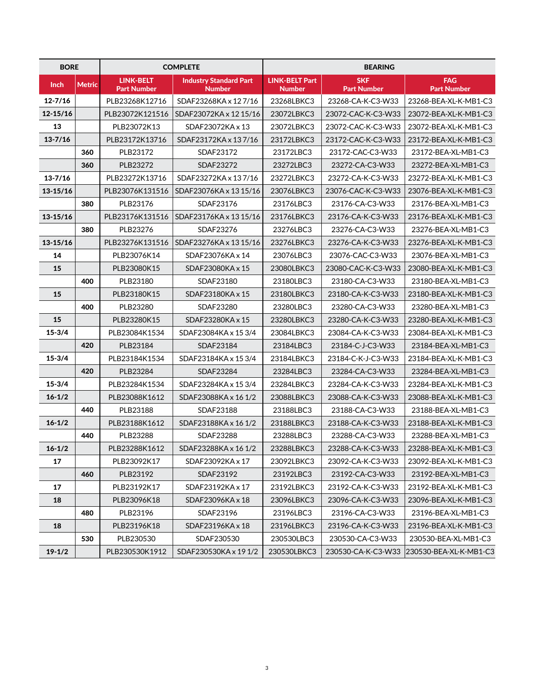| <b>BORE</b>  |               | <b>COMPLETE</b>                        |                                                | <b>BEARING</b>                         |                                  |                                           |
|--------------|---------------|----------------------------------------|------------------------------------------------|----------------------------------------|----------------------------------|-------------------------------------------|
| <b>Inch</b>  | <b>Metric</b> | <b>LINK-BELT</b><br><b>Part Number</b> | <b>Industry Standard Part</b><br><b>Number</b> | <b>LINK-BELT Part</b><br><b>Number</b> | <b>SKF</b><br><b>Part Number</b> | <b>FAG</b><br><b>Part Number</b>          |
| $12 - 7/16$  |               | PLB23268K12716                         | SDAF23268KA x 127/16                           | 23268LBKC3                             | 23268-CA-K-C3-W33                | 23268-BEA-XL-K-MB1-C3                     |
| $12 - 15/16$ |               | PLB23072K121516                        | SDAF23072KA x 12 15/16                         | 23072LBKC3                             | 23072-CAC-K-C3-W33               | 23072-BEA-XL-K-MB1-C3                     |
| 13           |               | PLB23072K13                            | SDAF23072KA x 13                               | 23072LBKC3                             | 23072-CAC-K-C3-W33               | 23072-BEA-XL-K-MB1-C3                     |
| $13 - 7/16$  |               | PLB23172K13716                         | SDAF23172KA x 137/16                           | 23172LBKC3                             | 23172-CAC-K-C3-W33               | 23172-BEA-XL-K-MB1-C3                     |
|              | 360           | PLB23172                               | SDAF23172                                      | 23172LBC3                              | 23172-CAC-C3-W33                 | 23172-BEA-XL-MB1-C3                       |
|              | 360           | PLB23272                               | SDAF23272                                      | 23272LBC3                              | 23272-CA-C3-W33                  | 23272-BEA-XL-MB1-C3                       |
| $13 - 7/16$  |               | PLB23272K13716                         | SDAF23272KA x 137/16                           | 23272LBKC3                             | 23272-CA-K-C3-W33                | 23272-BEA-XL-K-MB1-C3                     |
| $13 - 15/16$ |               | PLB23076K131516                        | SDAF23076KA x 13 15/16                         | 23076LBKC3                             | 23076-CAC-K-C3-W33               | 23076-BEA-XL-K-MB1-C3                     |
|              | 380           | PLB23176                               | SDAF23176                                      | 23176LBC3                              | 23176-CA-C3-W33                  | 23176-BEA-XL-MB1-C3                       |
| $13 - 15/16$ |               | PLB23176K131516                        | SDAF23176KA x 13 15/16                         | 23176LBKC3                             | 23176-CA-K-C3-W33                | 23176-BEA-XL-K-MB1-C3                     |
|              | 380           | PLB23276                               | SDAF23276                                      | 23276LBC3                              | 23276-CA-C3-W33                  | 23276-BEA-XL-MB1-C3                       |
| $13 - 15/16$ |               | PLB23276K131516                        | SDAF23276KA x 13 15/16                         | 23276LBKC3                             | 23276-CA-K-C3-W33                | 23276-BEA-XL-K-MB1-C3                     |
| 14           |               | PLB23076K14                            | SDAF23076KA x 14                               | 23076LBC3                              | 23076-CAC-C3-W33                 | 23076-BEA-XL-MB1-C3                       |
| 15           |               | PLB23080K15                            | SDAF23080KA x 15                               | 23080LBKC3                             | 23080-CAC-K-C3-W33               | 23080-BEA-XL-K-MB1-C3                     |
|              | 400           | PLB23180                               | SDAF23180                                      | 23180LBC3                              | 23180-CA-C3-W33                  | 23180-BEA-XL-MB1-C3                       |
| 15           |               | PLB23180K15                            | SDAF23180KA x 15                               | 23180LBKC3                             | 23180-CA-K-C3-W33                | 23180-BEA-XL-K-MB1-C3                     |
|              | 400           | PLB23280                               | SDAF23280                                      | 23280LBC3                              | 23280-CA-C3-W33                  | 23280-BEA-XL-MB1-C3                       |
| 15           |               | PLB23280K15                            | SDAF23280KA x 15                               | 23280LBKC3                             | 23280-CA-K-C3-W33                | 23280-BEA-XL-K-MB1-C3                     |
| $15 - 3/4$   |               | PLB23084K1534                          | SDAF23084KA x 15 3/4                           | 23084LBKC3                             | 23084-CA-K-C3-W33                | 23084-BEA-XL-K-MB1-C3                     |
|              | 420           | PLB23184                               | SDAF23184                                      | 23184LBC3                              | 23184-C-J-C3-W33                 | 23184-BEA-XL-MB1-C3                       |
| $15 - 3/4$   |               | PLB23184K1534                          | SDAF23184KA x 15 3/4                           | 23184LBKC3                             | 23184-C-K-J-C3-W33               | 23184-BEA-XL-K-MB1-C3                     |
|              | 420           | PLB23284                               | SDAF23284                                      | 23284LBC3                              | 23284-CA-C3-W33                  | 23284-BEA-XL-MB1-C3                       |
| $15 - 3/4$   |               | PLB23284K1534                          | SDAF23284KA x 15 3/4                           | 23284LBKC3                             | 23284-CA-K-C3-W33                | 23284-BEA-XL-K-MB1-C3                     |
| $16 - 1/2$   |               | PLB23088K1612                          | SDAF23088KA x 16 1/2                           | 23088LBKC3                             | 23088-CA-K-C3-W33                | 23088-BEA-XL-K-MB1-C3                     |
|              | 440           | PLB23188                               | SDAF23188                                      | 23188LBC3                              | 23188-CA-C3-W33                  | 23188-BEA-XL-MB1-C3                       |
| $16 - 1/2$   |               | PLB23188K1612                          | SDAF23188KA x 16 1/2                           | 23188LBKC3                             | 23188-CA-K-C3-W33                | 23188-BEA-XL-K-MB1-C3                     |
|              | 440           | PLB23288                               | SDAF23288                                      | 23288LBC3                              | 23288-CA-C3-W33                  | 23288-BEA-XL-MB1-C3                       |
| $16 - 1/2$   |               | PLB23288K1612                          | SDAF23288KA x 16 1/2                           | 23288LBKC3                             | 23288-CA-K-C3-W33                | 23288-BEA-XL-K-MB1-C3                     |
| 17           |               | PLB23092K17                            | SDAF23092KA x 17                               | 23092LBKC3                             | 23092-CA-K-C3-W33                | 23092-BEA-XL-K-MB1-C3                     |
|              | 460           | PLB23192                               | SDAF23192                                      | 23192LBC3                              | 23192-CA-C3-W33                  | 23192-BEA-XL-MB1-C3                       |
| 17           |               | PLB23192K17                            | SDAF23192KA x 17                               | 23192LBKC3                             | 23192-CA-K-C3-W33                | 23192-BEA-XL-K-MB1-C3                     |
| 18           |               | PLB23096K18                            | SDAF23096KA x 18                               | 23096LBKC3                             | 23096-CA-K-C3-W33                | 23096-BEA-XL-K-MB1-C3                     |
|              | 480           | PLB23196                               | SDAF23196                                      | 23196LBC3                              | 23196-CA-C3-W33                  | 23196-BEA-XL-MB1-C3                       |
| 18           |               | PLB23196K18                            | SDAF23196KA x 18                               | 23196LBKC3                             | 23196-CA-K-C3-W33                | 23196-BEA-XL-K-MB1-C3                     |
|              | 530           | PLB230530                              | SDAF230530                                     | 230530LBC3                             | 230530-CA-C3-W33                 | 230530-BEA-XL-MB1-C3                      |
| $19 - 1/2$   |               | PLB230530K1912                         | SDAF230530KA x 19 1/2                          | 230530LBKC3                            |                                  | 230530-CA-K-C3-W33 230530-BEA-XL-K-MB1-C3 |